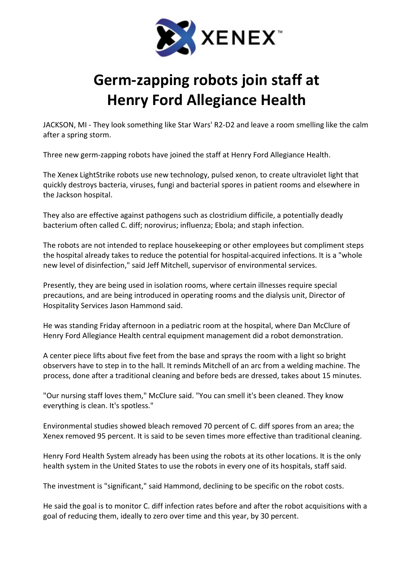

## Germ-zapping robots join staff at Henry Ford Allegiance Health

JACKSON, MI - They look something like Star Wars' R2-D2 and leave a room smelling like the calm after a spring storm.

Three new germ-zapping robots have joined the staff at Henry Ford Allegiance Health.

The Xenex LightStrike robots use new technology, pulsed xenon, to create ultraviolet light that quickly destroys bacteria, viruses, fungi and bacterial spores in patient rooms and elsewhere in the Jackson hospital.

They also are effective against pathogens such as clostridium difficile, a potentially deadly bacterium often called C. diff; norovirus; influenza; Ebola; and staph infection.

The robots are not intended to replace housekeeping or other employees but compliment steps the hospital already takes to reduce the potential for hospital-acquired infections. It is a "whole new level of disinfection," said Jeff Mitchell, supervisor of environmental services.

Presently, they are being used in isolation rooms, where certain illnesses require special precautions, and are being introduced in operating rooms and the dialysis unit, Director of Hospitality Services Jason Hammond said.

He was standing Friday afternoon in a pediatric room at the hospital, where Dan McClure of Henry Ford Allegiance Health central equipment management did a robot demonstration.

A center piece lifts about five feet from the base and sprays the room with a light so bright observers have to step in to the hall. It reminds Mitchell of an arc from a welding machine. The process, done after a traditional cleaning and before beds are dressed, takes about 15 minutes.

"Our nursing staff loves them," McClure said. "You can smell it's been cleaned. They know everything is clean. It's spotless."

Environmental studies showed bleach removed 70 percent of C. diff spores from an area; the Xenex removed 95 percent. It is said to be seven times more effective than traditional cleaning.

Henry Ford Health System already has been using the robots at its other locations. It is the only health system in the United States to use the robots in every one of its hospitals, staff said.

The investment is "significant," said Hammond, declining to be specific on the robot costs.

He said the goal is to monitor C. diff infection rates before and after the robot acquisitions with a goal of reducing them, ideally to zero over time and this year, by 30 percent.